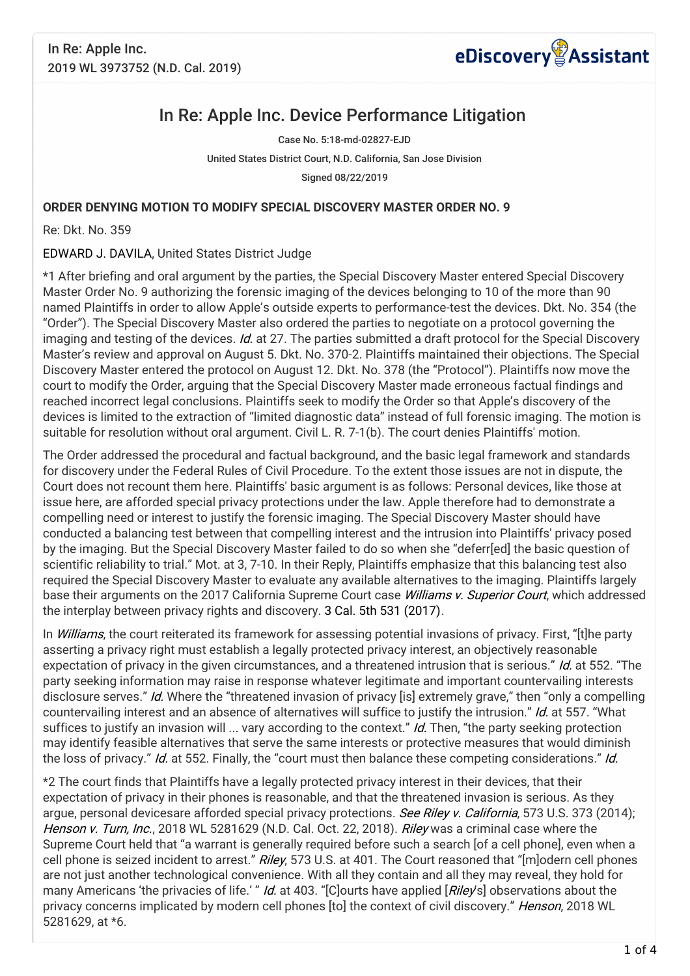

## In Re: Apple Inc. Device Performance Litigation

Case No. 5:18-md-02827-EJD United States District Court, N.D. California, San Jose Division Signed 08/22/2019

## **ORDER DENYING MOTION TO MODIFY SPECIAL DISCOVERY MASTER ORDER NO. 9**

Re: Dkt. No. 359

## EDWARD J. DAVILA, United States District Judge

\*1 After briefing and oral argument by the parties, the Special Discovery Master entered Special Discovery Master Order No. 9 authorizing the forensic imaging of the devices belonging to 10 of the more than 90 named Plaintiffs in order to allow Apple's outside experts to performance-test the devices. Dkt. No. 354 (the "Order"). The Special Discovery Master also ordered the parties to negotiate on a protocol governing the imaging and testing of the devices. Id. at 27. The parties submitted a draft protocol for the Special Discovery Master's review and approval on August 5. Dkt. No. 370-2. Plaintiffs maintained their objections. The Special Discovery Master entered the protocol on August 12. Dkt. No. 378 (the "Protocol"). Plaintiffs now move the court to modify the Order, arguing that the Special Discovery Master made erroneous factual findings and reached incorrect legal conclusions. Plaintiffs seek to modify the Order so that Apple's discovery of the devices is limited to the extraction of "limited diagnostic data" instead of full forensic imaging. The motion is suitable for resolution without oral argument. Civil L. R. 7-1(b). The court denies Plaintiffs' motion.

The Order addressed the procedural and factual background, and the basic legal framework and standards for discovery under the Federal Rules of Civil Procedure. To the extent those issues are not in dispute, the Court does not recount them here. Plaintiffs' basic argument is as follows: Personal devices, like those at issue here, are afforded special privacy protections under the law. Apple therefore had to demonstrate a compelling need or interest to justify the forensic imaging. The Special Discovery Master should have conducted a balancing test between that compelling interest and the intrusion into Plaintiffs' privacy posed by the imaging. But the Special Discovery Master failed to do so when she "deferr[ed] the basic question of scientific reliability to trial." Mot. at 3, 7-10. In their Reply, Plaintiffs emphasize that this balancing test also required the Special Discovery Master to evaluate any available alternatives to the imaging. Plaintiffs largely base their arguments on the 2017 California Supreme Court case *Williams v. Superior Court*, which addressed the interplay between privacy rights and discovery. 3 Cal. 5th 531 (2017).

In *Williams*, the court reiterated its framework for assessing potential invasions of privacy. First, "[t]he party asserting a privacy right must establish a legally protected privacy interest, an objectively reasonable expectation of privacy in the given circumstances, and a threatened intrusion that is serious." Id. at 552. "The party seeking information may raise in response whatever legitimate and important countervailing interests disclosure serves." Id. Where the "threatened invasion of privacy [is] extremely grave," then "only a compelling countervailing interest and an absence of alternatives will suffice to justify the intrusion." Id. at 557. "What suffices to justify an invasion will  $\ldots$  vary according to the context." Id. Then, "the party seeking protection may identify feasible alternatives that serve the same interests or protective measures that would diminish the loss of privacy." Id. at 552. Finally, the "court must then balance these competing considerations." Id.

\*2 The court finds that Plaintiffs have a legally protected privacy interest in their devices, that their expectation of privacy in their phones is reasonable, and that the threatened invasion is serious. As they argue, personal devicesare afforded special privacy protections. See Riley v. California, 573 U.S. 373 (2014); Henson v. Turn, Inc., 2018 WL 5281629 (N.D. Cal. Oct. 22, 2018). Riley was a criminal case where the Supreme Court held that "a warrant is generally required before such a search [of a cell phone], even when a cell phone is seized incident to arrest." Riley, 573 U.S. at 401. The Court reasoned that "[m]odern cell phones are not just another technological convenience. With all they contain and all they may reveal, they hold for many Americans 'the privacies of life.' " Id. at 403. "[C]ourts have applied [Riley's] observations about the privacy concerns implicated by modern cell phones [to] the context of civil discovery." Henson, 2018 WL 5281629, at \*6.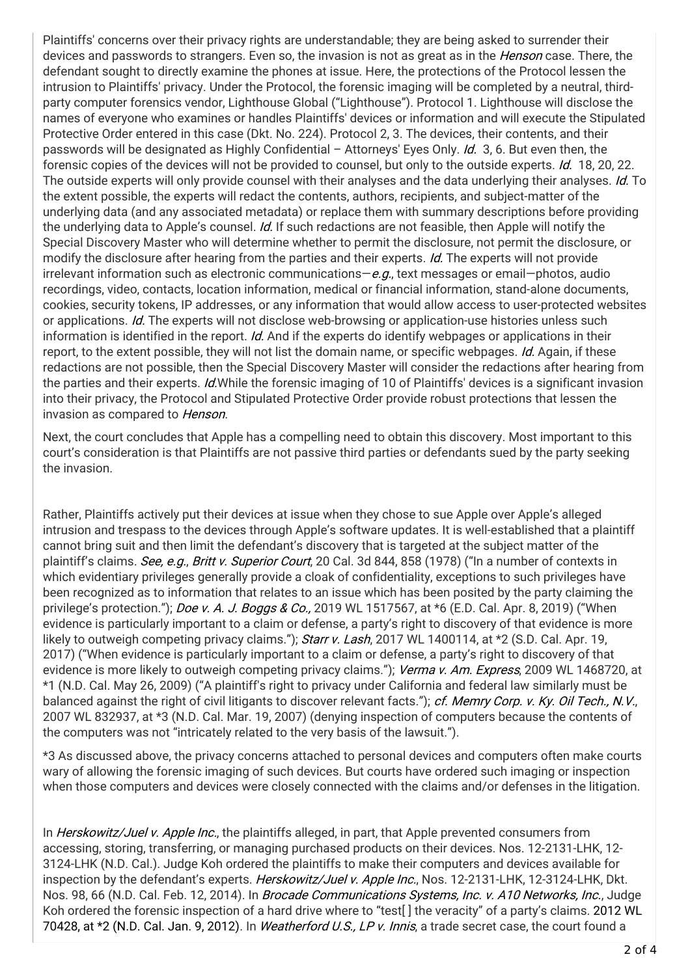Plaintiffs' concerns over their privacy rights are understandable; they are being asked to surrender their devices and passwords to strangers. Even so, the invasion is not as great as in the *Henson* case. There, the defendant sought to directly examine the phones at issue. Here, the protections of the Protocol lessen the intrusion to Plaintiffs' privacy. Under the Protocol, the forensic imaging will be completed by a neutral, thirdparty computer forensics vendor, Lighthouse Global ("Lighthouse"). Protocol 1. Lighthouse will disclose the names of everyone who examines or handles Plaintiffs' devices or information and will execute the Stipulated Protective Order entered in this case (Dkt. No. 224). Protocol 2, 3. The devices, their contents, and their passwords will be designated as Highly Confidential - Attorneys' Eyes Only. Id. 3, 6. But even then, the forensic copies of the devices will not be provided to counsel, but only to the outside experts. Id. 18, 20, 22. The outside experts will only provide counsel with their analyses and the data underlying their analyses. Id. To the extent possible, the experts will redact the contents, authors, recipients, and subject-matter of the underlying data (and any associated metadata) or replace them with summary descriptions before providing the underlying data to Apple's counsel. Id. If such redactions are not feasible, then Apple will notify the Special Discovery Master who will determine whether to permit the disclosure, not permit the disclosure, or modify the disclosure after hearing from the parties and their experts. *Id.* The experts will not provide irrelevant information such as electronic communications— $e.g.,$  text messages or email—photos, audio recordings, video, contacts, location information, medical or financial information, stand-alone documents, cookies, security tokens, IP addresses, or any information that would allow access to user-protected websites or applications. Id. The experts will not disclose web-browsing or application-use histories unless such information is identified in the report. *Id.* And if the experts do identify webpages or applications in their report, to the extent possible, they will not list the domain name, or specific webpages. Id. Again, if these redactions are not possible, then the Special Discovery Master will consider the redactions after hearing from the parties and their experts. *Id.*While the forensic imaging of 10 of Plaintiffs' devices is a significant invasion into their privacy, the Protocol and Stipulated Protective Order provide robust protections that lessen the invasion as compared to Henson.

Next, the court concludes that Apple has a compelling need to obtain this discovery. Most important to this court's consideration is that Plaintiffs are not passive third parties or defendants sued by the party seeking the invasion.

Rather, Plaintiffs actively put their devices at issue when they chose to sue Apple over Apple's alleged intrusion and trespass to the devices through Apple's software updates. It is well-established that a plaintiff cannot bring suit and then limit the defendant's discovery that is targeted at the subject matter of the plaintiff's claims. See, e.g., Britt v. Superior Court, 20 Cal. 3d 844, 858 (1978) ("In a number of contexts in which evidentiary privileges generally provide a cloak of confidentiality, exceptions to such privileges have been recognized as to information that relates to an issue which has been posited by the party claiming the privilege's protection."); Doe v. A. J. Boggs & Co., 2019 WL 1517567, at \*6 (E.D. Cal. Apr. 8, 2019) ("When evidence is particularly important to a claim or defense, a party's right to discovery of that evidence is more likely to outweigh competing privacy claims."); Starr v. Lash, 2017 WL 1400114, at \*2 (S.D. Cal. Apr. 19, 2017) ("When evidence is particularly important to a claim or defense, a party's right to discovery of that evidence is more likely to outweigh competing privacy claims."); Verma v. Am. Express, 2009 WL 1468720, at \*1 (N.D. Cal. May 26, 2009) ("A plaintiff's right to privacy under California and federal law similarly must be balanced against the right of civil litigants to discover relevant facts."); cf. Memry Corp. v. Ky. Oil Tech., N.V., 2007 WL 832937, at \*3 (N.D. Cal. Mar. 19, 2007) (denying inspection of computers because the contents of the computers was not "intricately related to the very basis of the lawsuit.").

\*3 As discussed above, the privacy concerns attached to personal devices and computers often make courts wary of allowing the forensic imaging of such devices. But courts have ordered such imaging or inspection when those computers and devices were closely connected with the claims and/or defenses in the litigation.

In *Herskowitz/Juel v. Apple Inc.*, the plaintiffs alleged, in part, that Apple prevented consumers from accessing, storing, transferring, or managing purchased products on their devices. Nos. 12-2131-LHK, 12- 3124-LHK (N.D. Cal.). Judge Koh ordered the plaintiffs to make their computers and devices available for inspection by the defendant's experts. Herskowitz/Juel v. Apple Inc., Nos. 12-2131-LHK, 12-3124-LHK, Dkt. Nos. 98, 66 (N.D. Cal. Feb. 12, 2014). In Brocade Communications Systems, Inc. v. A10 Networks, Inc., Judge Koh ordered the forensic inspection of a hard drive where to "test[ ] the veracity" of a party's claims. 2012 WL 70428, at \*2 (N.D. Cal. Jan. 9, 2012). In Weatherford U.S., LP v. Innis, a trade secret case, the court found a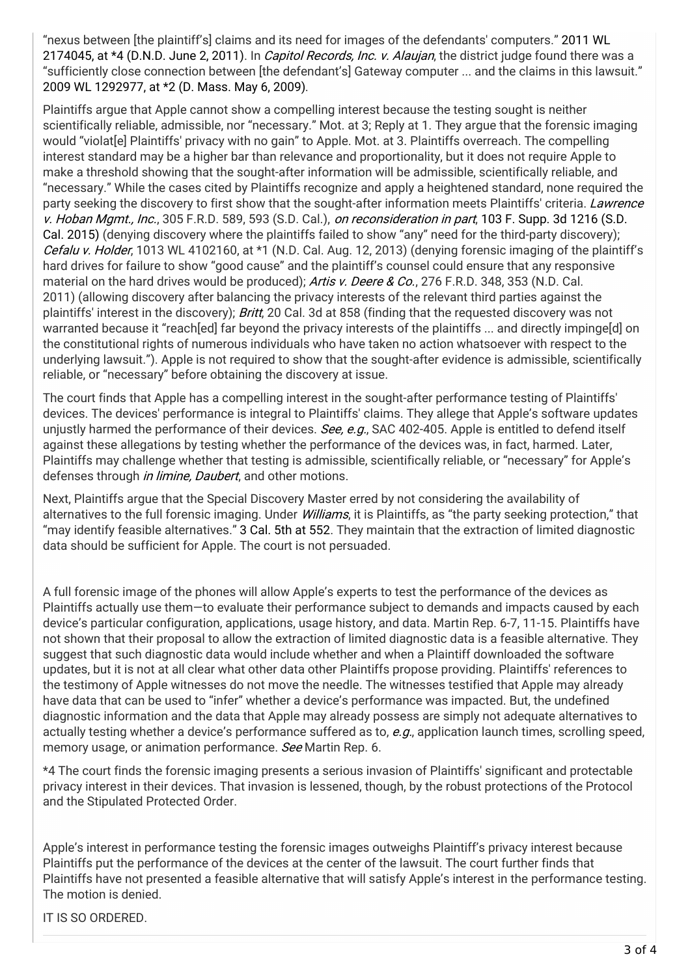"nexus between [the plaintiff's] claims and its need for images of the defendants' computers." 2011 WL 2174045, at \*4 (D.N.D. June 2, 2011). In *Capitol Records, Inc. v. Alaujan*, the district judge found there was a "sufficiently close connection between [the defendant's] Gateway computer ... and the claims in this lawsuit." 2009 WL 1292977, at \*2 (D. Mass. May 6, 2009).

Plaintiffs argue that Apple cannot show a compelling interest because the testing sought is neither scientifically reliable, admissible, nor "necessary." Mot. at 3; Reply at 1. They argue that the forensic imaging would "violat[e] Plaintiffs' privacy with no gain" to Apple. Mot. at 3. Plaintiffs overreach. The compelling interest standard may be a higher bar than relevance and proportionality, but it does not require Apple to make a threshold showing that the sought-after information will be admissible, scientifically reliable, and "necessary." While the cases cited by Plaintiffs recognize and apply a heightened standard, none required the party seeking the discovery to first show that the sought-after information meets Plaintiffs' criteria. Lawrence v. Hoban Mgmt., Inc., 305 F.R.D. 589, 593 (S.D. Cal.), on reconsideration in part, 103 F. Supp. 3d 1216 (S.D. Cal. 2015) (denying discovery where the plaintiffs failed to show "any" need for the third-party discovery); Cefalu v. Holder, 1013 WL 4102160, at \*1 (N.D. Cal. Aug. 12, 2013) (denying forensic imaging of the plaintiff's hard drives for failure to show "good cause" and the plaintiff's counsel could ensure that any responsive material on the hard drives would be produced); Artis v. Deere & Co., 276 F.R.D. 348, 353 (N.D. Cal. 2011) (allowing discovery after balancing the privacy interests of the relevant third parties against the plaintiffs' interest in the discovery); Britt, 20 Cal. 3d at 858 (finding that the requested discovery was not warranted because it "reach[ed] far beyond the privacy interests of the plaintiffs ... and directly impinge[d] on the constitutional rights of numerous individuals who have taken no action whatsoever with respect to the underlying lawsuit."). Apple is not required to show that the sought-after evidence is admissible, scientifically reliable, or "necessary" before obtaining the discovery at issue.

The court finds that Apple has a compelling interest in the sought-after performance testing of Plaintiffs' devices. The devices' performance is integral to Plaintiffs' claims. They allege that Apple's software updates unjustly harmed the performance of their devices. See, e.g., SAC 402-405. Apple is entitled to defend itself against these allegations by testing whether the performance of the devices was, in fact, harmed. Later, Plaintiffs may challenge whether that testing is admissible, scientifically reliable, or "necessary" for Apple's defenses through *in limine, Daubert*, and other motions.

Next, Plaintiffs argue that the Special Discovery Master erred by not considering the availability of alternatives to the full forensic imaging. Under *Williams*, it is Plaintiffs, as "the party seeking protection," that "may identify feasible alternatives." 3 Cal. 5th at 552. They maintain that the extraction of limited diagnostic data should be sufficient for Apple. The court is not persuaded.

A full forensic image of the phones will allow Apple's experts to test the performance of the devices as Plaintiffs actually use them—to evaluate their performance subject to demands and impacts caused by each device's particular configuration, applications, usage history, and data. Martin Rep. 6-7, 11-15. Plaintiffs have not shown that their proposal to allow the extraction of limited diagnostic data is a feasible alternative. They suggest that such diagnostic data would include whether and when a Plaintiff downloaded the software updates, but it is not at all clear what other data other Plaintiffs propose providing. Plaintiffs' references to the testimony of Apple witnesses do not move the needle. The witnesses testified that Apple may already have data that can be used to "infer" whether a device's performance was impacted. But, the undefined diagnostic information and the data that Apple may already possess are simply not adequate alternatives to actually testing whether a device's performance suffered as to, e.q., application launch times, scrolling speed, memory usage, or animation performance. See Martin Rep. 6.

\*4 The court finds the forensic imaging presents a serious invasion of Plaintiffs' significant and protectable privacy interest in their devices. That invasion is lessened, though, by the robust protections of the Protocol and the Stipulated Protected Order.

Apple's interest in performance testing the forensic images outweighs Plaintiff's privacy interest because Plaintiffs put the performance of the devices at the center of the lawsuit. The court further finds that Plaintiffs have not presented a feasible alternative that will satisfy Apple's interest in the performance testing. The motion is denied.

IT IS SO ORDERED.